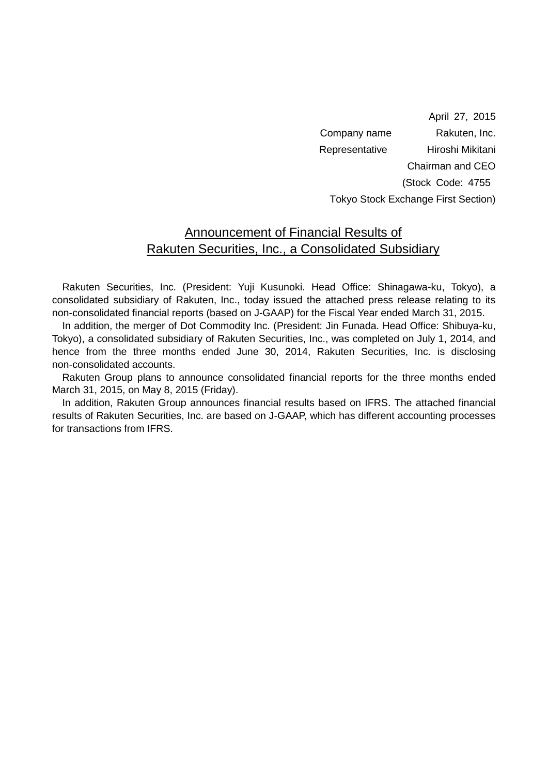April 27, 2015 Company name Rakuten, Inc. Representative Hiroshi Mikitani Chairman and CEO (Stock Code: 4755 Tokyo Stock Exchange First Section)

### Announcement of Financial Results of Rakuten Securities, Inc., a Consolidated Subsidiary

Rakuten Securities, Inc. (President: Yuji Kusunoki. Head Office: Shinagawa-ku, Tokyo), a consolidated subsidiary of Rakuten, Inc., today issued the attached press release relating to its non-consolidated financial reports (based on J-GAAP) for the Fiscal Year ended March 31, 2015.

In addition, the merger of Dot Commodity Inc. (President: Jin Funada. Head Office: Shibuya-ku, Tokyo), a consolidated subsidiary of Rakuten Securities, Inc., was completed on July 1, 2014, and hence from the three months ended June 30, 2014, Rakuten Securities, Inc. is disclosing non-consolidated accounts.

Rakuten Group plans to announce consolidated financial reports for the three months ended March 31, 2015, on May 8, 2015 (Friday).

In addition, Rakuten Group announces financial results based on IFRS. The attached financial results of Rakuten Securities, Inc. are based on J-GAAP, which has different accounting processes for transactions from IFRS.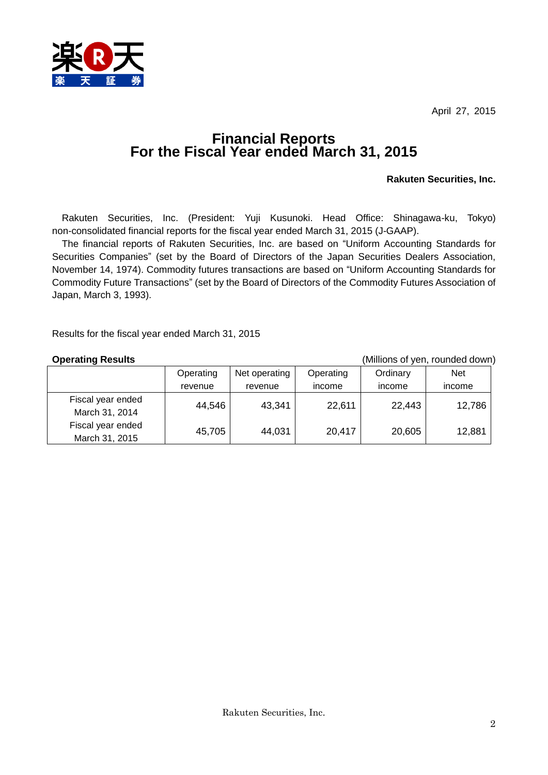April 27, 2015



## **Financial Reports For the Fiscal Year ended March 31, 2015**

### **Rakuten Securities, Inc.**

Rakuten Securities, Inc. (President: Yuji Kusunoki. Head Office: Shinagawa-ku, Tokyo) non-consolidated financial reports for the fiscal year ended March 31, 2015 (J-GAAP).

The financial reports of Rakuten Securities, Inc. are based on "Uniform Accounting Standards for Securities Companies" (set by the Board of Directors of the Japan Securities Dealers Association, November 14, 1974). Commodity futures transactions are based on "Uniform Accounting Standards for Commodity Future Transactions" (set by the Board of Directors of the Commodity Futures Association of Japan, March 3, 1993).

Results for the fiscal year ended March 31, 2015

**Operating Results Operating Results COPER 1989** (Millions of yen, rounded down)

|                                     | Operating | Net operating | Operating | Ordinary | <b>Net</b> |
|-------------------------------------|-----------|---------------|-----------|----------|------------|
|                                     | revenue   | revenue       | income    | income   | income     |
| Fiscal year ended<br>March 31, 2014 | 44,546    | 43,341        | 22,611    | 22,443   | 12,786     |
| Fiscal year ended<br>March 31, 2015 | 45,705    | 44,031        | 20,417    | 20,605   | 12,881     |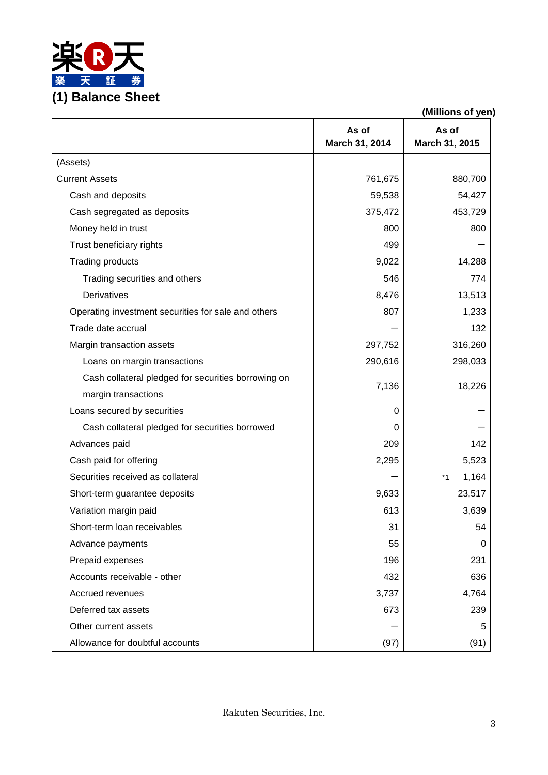

|                                                     |                         | (Millions of yen)       |
|-----------------------------------------------------|-------------------------|-------------------------|
|                                                     | As of<br>March 31, 2014 | As of<br>March 31, 2015 |
| (Assets)                                            |                         |                         |
| <b>Current Assets</b>                               | 761,675                 | 880,700                 |
| Cash and deposits                                   | 59,538                  | 54,427                  |
| Cash segregated as deposits                         | 375,472                 | 453,729                 |
| Money held in trust                                 | 800                     | 800                     |
| Trust beneficiary rights                            | 499                     |                         |
| <b>Trading products</b>                             | 9,022                   | 14,288                  |
| Trading securities and others                       | 546                     | 774                     |
| Derivatives                                         | 8,476                   | 13,513                  |
| Operating investment securities for sale and others | 807                     | 1,233                   |
| Trade date accrual                                  |                         | 132                     |
| Margin transaction assets                           | 297,752                 | 316,260                 |
| Loans on margin transactions                        | 290,616                 | 298,033                 |
| Cash collateral pledged for securities borrowing on | 7,136                   | 18,226                  |
| margin transactions                                 |                         |                         |
| Loans secured by securities                         | 0                       |                         |
| Cash collateral pledged for securities borrowed     | 0                       |                         |
| Advances paid                                       | 209                     | 142                     |
| Cash paid for offering                              | 2,295                   | 5,523                   |
| Securities received as collateral                   |                         | 1,164<br>$*1$           |
| Short-term guarantee deposits                       | 9,633                   | 23,517                  |
| Variation margin paid                               | 613                     | 3,639                   |
| Short-term loan receivables                         | 31                      | 54                      |
| Advance payments                                    | 55                      | 0                       |
| Prepaid expenses                                    | 196                     | 231                     |
| Accounts receivable - other                         | 432                     | 636                     |
| Accrued revenues                                    | 3,737                   | 4,764                   |
| Deferred tax assets                                 | 673                     | 239                     |
| Other current assets                                |                         | 5                       |
| Allowance for doubtful accounts                     | (97)                    | (91)                    |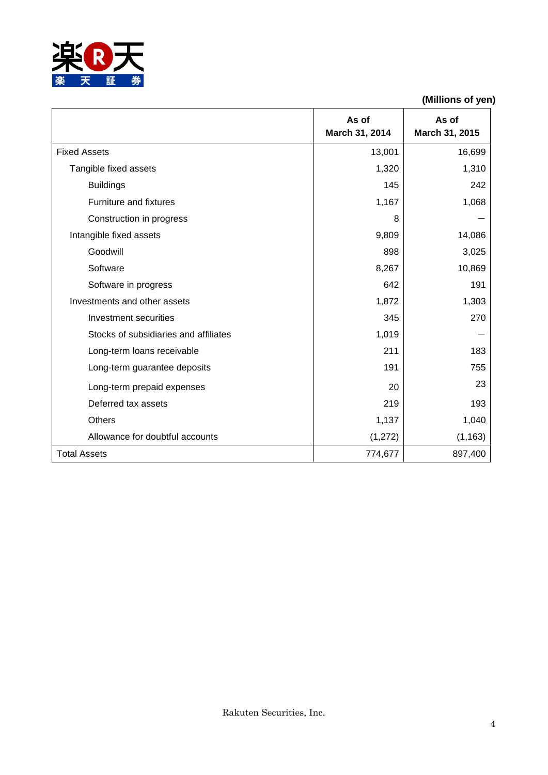

|                                       | As of<br>March 31, 2014 | As of<br>March 31, 2015 |
|---------------------------------------|-------------------------|-------------------------|
| <b>Fixed Assets</b>                   | 13,001                  | 16,699                  |
| Tangible fixed assets                 | 1,320                   | 1,310                   |
| <b>Buildings</b>                      | 145                     | 242                     |
| Furniture and fixtures                | 1,167                   | 1,068                   |
| Construction in progress              | 8                       |                         |
| Intangible fixed assets               | 9,809                   | 14,086                  |
| Goodwill                              | 898                     | 3,025                   |
| Software                              | 8,267                   | 10,869                  |
| Software in progress                  | 642                     | 191                     |
| Investments and other assets          | 1,872                   | 1,303                   |
| Investment securities                 | 345                     | 270                     |
| Stocks of subsidiaries and affiliates | 1,019                   |                         |
| Long-term loans receivable            | 211                     | 183                     |
| Long-term guarantee deposits          | 191                     | 755                     |
| Long-term prepaid expenses            | 20                      | 23                      |
| Deferred tax assets                   | 219                     | 193                     |
| <b>Others</b>                         | 1,137                   | 1,040                   |
| Allowance for doubtful accounts       | (1, 272)                | (1, 163)                |
| <b>Total Assets</b>                   | 774,677                 | 897,400                 |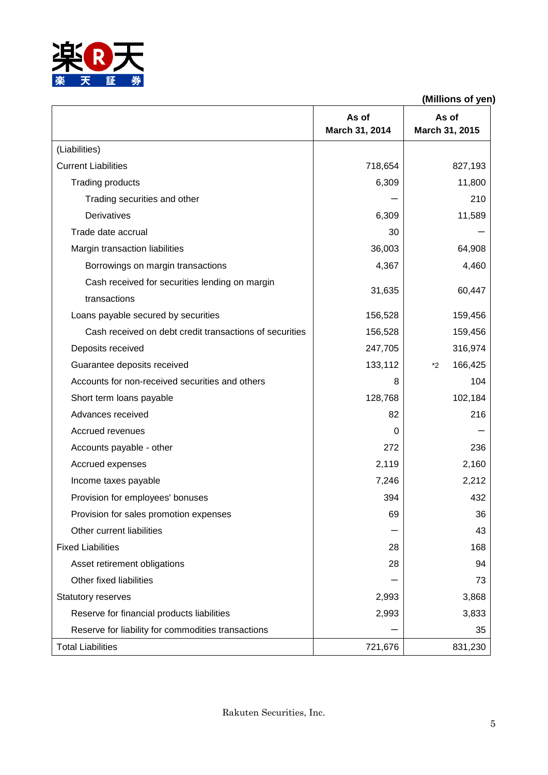

|                                                         | As of<br>March 31, 2014 | As of<br>March 31, 2015 |
|---------------------------------------------------------|-------------------------|-------------------------|
| (Liabilities)                                           |                         |                         |
| <b>Current Liabilities</b>                              | 718,654                 | 827,193                 |
| <b>Trading products</b>                                 | 6,309                   | 11,800                  |
| Trading securities and other                            |                         | 210                     |
| Derivatives                                             | 6,309                   | 11,589                  |
| Trade date accrual                                      | 30                      |                         |
| Margin transaction liabilities                          | 36,003                  | 64,908                  |
| Borrowings on margin transactions                       | 4,367                   | 4,460                   |
| Cash received for securities lending on margin          |                         |                         |
| transactions                                            | 31,635                  | 60,447                  |
| Loans payable secured by securities                     | 156,528                 | 159,456                 |
| Cash received on debt credit transactions of securities | 156,528                 | 159,456                 |
| Deposits received                                       | 247,705                 | 316,974                 |
| Guarantee deposits received                             | 133,112                 | 166,425<br>*2           |
| Accounts for non-received securities and others         | 8                       | 104                     |
| Short term loans payable                                | 128,768                 | 102,184                 |
| Advances received                                       | 82                      | 216                     |
| Accrued revenues                                        | 0                       |                         |
| Accounts payable - other                                | 272                     | 236                     |
| Accrued expenses                                        | 2,119                   | 2,160                   |
| Income taxes payable                                    | 7,246                   | 2,212                   |
| Provision for employees' bonuses                        | 394                     | 432                     |
| Provision for sales promotion expenses                  | 69                      | 36                      |
| Other current liabilities                               |                         | 43                      |
| <b>Fixed Liabilities</b>                                | 28                      | 168                     |
| Asset retirement obligations                            | 28                      | 94                      |
| Other fixed liabilities                                 |                         | 73                      |
| <b>Statutory reserves</b>                               | 2,993                   | 3,868                   |
| Reserve for financial products liabilities              | 2,993                   | 3,833                   |
| Reserve for liability for commodities transactions      |                         | 35                      |
| <b>Total Liabilities</b>                                | 721,676                 | 831,230                 |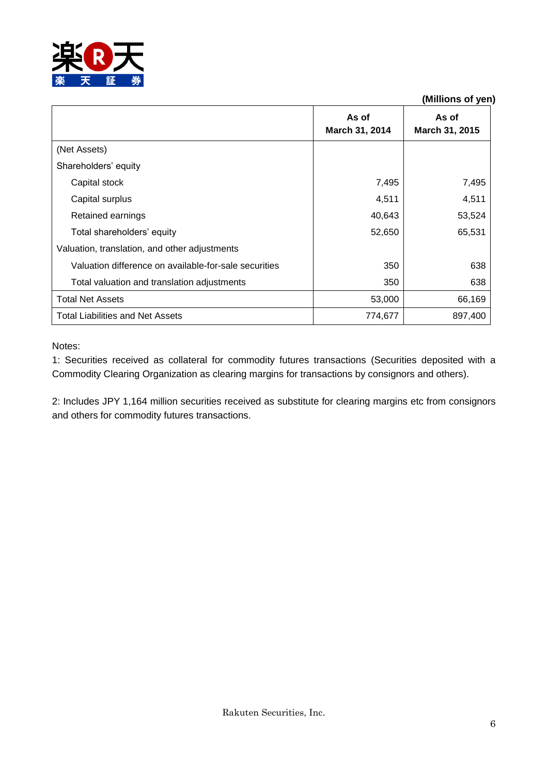

|                                                       | As of<br>March 31, 2014 | As of<br>March 31, 2015 |
|-------------------------------------------------------|-------------------------|-------------------------|
| (Net Assets)                                          |                         |                         |
| Shareholders' equity                                  |                         |                         |
| Capital stock                                         | 7,495                   | 7,495                   |
| Capital surplus                                       | 4,511                   | 4,511                   |
| Retained earnings                                     | 40,643                  | 53,524                  |
| Total shareholders' equity                            | 52,650                  | 65,531                  |
| Valuation, translation, and other adjustments         |                         |                         |
| Valuation difference on available-for-sale securities | 350                     | 638                     |
| Total valuation and translation adjustments           | 350                     | 638                     |
| <b>Total Net Assets</b>                               | 53,000                  | 66,169                  |
| Total Liabilities and Net Assets                      | 774,677                 | 897,400                 |

Notes:

1: Securities received as collateral for commodity futures transactions (Securities deposited with a Commodity Clearing Organization as clearing margins for transactions by consignors and others).

2: Includes JPY 1,164 million securities received as substitute for clearing margins etc from consignors and others for commodity futures transactions.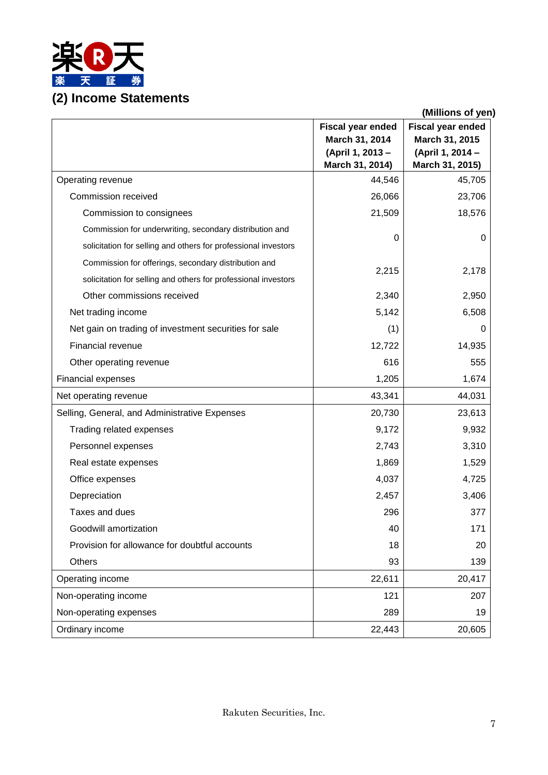

|                                                                | (Millions of yen)                                                                 |                                                                            |  |
|----------------------------------------------------------------|-----------------------------------------------------------------------------------|----------------------------------------------------------------------------|--|
|                                                                | <b>Fiscal year ended</b><br>March 31, 2014<br>(April 1, 2013 -<br>March 31, 2014) | Fiscal year ended<br>March 31, 2015<br>(April 1, 2014 -<br>March 31, 2015) |  |
| Operating revenue                                              | 44,546                                                                            | 45,705                                                                     |  |
| Commission received                                            | 26,066                                                                            | 23,706                                                                     |  |
| Commission to consignees                                       | 21,509                                                                            | 18,576                                                                     |  |
| Commission for underwriting, secondary distribution and        |                                                                                   |                                                                            |  |
| solicitation for selling and others for professional investors | 0                                                                                 | 0                                                                          |  |
| Commission for offerings, secondary distribution and           |                                                                                   |                                                                            |  |
| solicitation for selling and others for professional investors | 2,215                                                                             | 2,178                                                                      |  |
| Other commissions received                                     | 2,340                                                                             | 2,950                                                                      |  |
| Net trading income                                             | 5,142                                                                             | 6,508                                                                      |  |
| Net gain on trading of investment securities for sale          | (1)                                                                               | 0                                                                          |  |
| Financial revenue                                              | 12,722                                                                            | 14,935                                                                     |  |
| Other operating revenue                                        | 616                                                                               | 555                                                                        |  |
| Financial expenses                                             | 1,205                                                                             | 1,674                                                                      |  |
| Net operating revenue                                          | 43,341                                                                            | 44,031                                                                     |  |
| Selling, General, and Administrative Expenses                  | 20,730                                                                            | 23,613                                                                     |  |
| Trading related expenses                                       | 9,172                                                                             | 9,932                                                                      |  |
| Personnel expenses                                             | 2,743                                                                             | 3,310                                                                      |  |
| Real estate expenses                                           | 1,869                                                                             | 1,529                                                                      |  |
| Office expenses                                                | 4,037                                                                             | 4,725                                                                      |  |
| Depreciation                                                   | 2,457                                                                             | 3,406                                                                      |  |
| Taxes and dues                                                 | 296                                                                               | 377                                                                        |  |
| Goodwill amortization                                          | 40                                                                                | 171                                                                        |  |
| Provision for allowance for doubtful accounts                  | 18                                                                                | 20                                                                         |  |
| Others                                                         | 93                                                                                | 139                                                                        |  |
| Operating income                                               | 22,611                                                                            | 20,417                                                                     |  |
| Non-operating income                                           | 121                                                                               | 207                                                                        |  |
| Non-operating expenses                                         | 289                                                                               | 19                                                                         |  |
| Ordinary income                                                | 22,443                                                                            | 20,605                                                                     |  |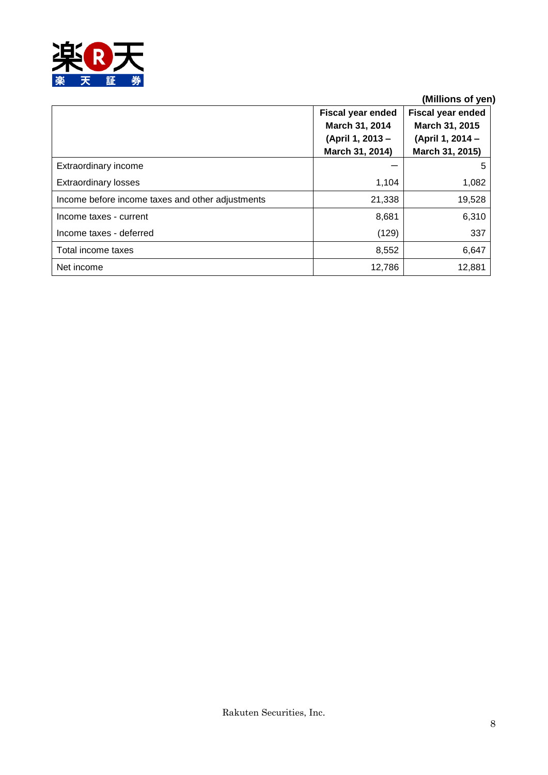

|                                                  | <b>Fiscal year ended</b><br>March 31, 2014 | <b>Fiscal year ended</b><br>March 31, 2015 |
|--------------------------------------------------|--------------------------------------------|--------------------------------------------|
|                                                  | (April 1, 2013 -<br>March 31, 2014)        | (April 1, 2014 -<br>March 31, 2015)        |
| Extraordinary income                             |                                            | 5                                          |
| <b>Extraordinary losses</b>                      | 1,104                                      | 1,082                                      |
| Income before income taxes and other adjustments | 21,338                                     | 19,528                                     |
| Income taxes - current                           | 8,681                                      | 6,310                                      |
| Income taxes - deferred                          | (129)                                      | 337                                        |
| Total income taxes                               | 8,552                                      | 6,647                                      |
| Net income                                       | 12,786                                     | 12,881                                     |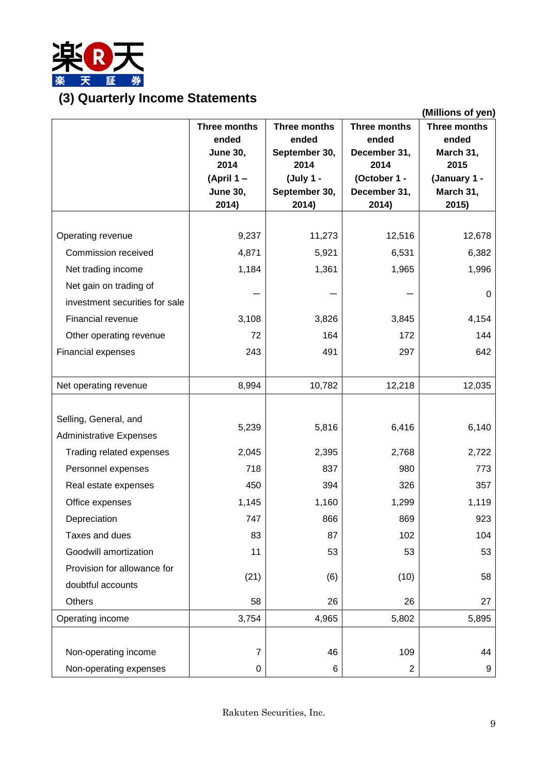

# **(3) Quarterly Income Statements**

|                                |                   |                   |                      | (Millions of yen)         |
|--------------------------------|-------------------|-------------------|----------------------|---------------------------|
|                                | Three months      | Three months      | Three months         | Three months              |
|                                | ended             | ended             | ended                | ended                     |
|                                | <b>June 30,</b>   | September 30,     | December 31,         | March 31,                 |
|                                | 2014<br>(April 1- | 2014<br>(July 1 - | 2014<br>(October 1 - | 2015                      |
|                                | <b>June 30,</b>   | September 30,     | December 31,         | (January 1 -<br>March 31, |
|                                | 2014)             | 2014)             | 2014)                | 2015)                     |
|                                |                   |                   |                      |                           |
| Operating revenue              | 9,237             | 11,273            | 12,516               | 12,678                    |
| Commission received            | 4,871             | 5,921             | 6,531                | 6,382                     |
| Net trading income             | 1,184             | 1,361             | 1,965                | 1,996                     |
| Net gain on trading of         |                   |                   |                      |                           |
| investment securities for sale |                   |                   |                      | 0                         |
| Financial revenue              | 3,108             | 3,826             | 3,845                | 4,154                     |
| Other operating revenue        | 72                | 164               | 172                  | 144                       |
| <b>Financial expenses</b>      | 243               | 491               | 297                  | 642                       |
|                                |                   |                   |                      |                           |
| Net operating revenue          | 8,994             | 10,782            | 12,218               | 12,035                    |
|                                |                   |                   |                      |                           |
| Selling, General, and          |                   |                   |                      |                           |
| <b>Administrative Expenses</b> | 5,239             | 5,816             | 6,416                | 6,140                     |
| Trading related expenses       | 2,045             | 2,395             | 2,768                | 2,722                     |
| Personnel expenses             | 718               | 837               | 980                  | 773                       |
| Real estate expenses           | 450               | 394               | 326                  | 357                       |
| Office expenses                | 1,145             | 1,160             | 1,299                | 1,119                     |
| Depreciation                   | 747               | 866               | 869                  | 923                       |
| Taxes and dues                 | 83                | 87                | 102                  | 104                       |
| Goodwill amortization          | 11                | 53                | 53                   | 53                        |
| Provision for allowance for    |                   |                   |                      |                           |
| doubtful accounts              | (21)              | (6)               | (10)                 | 58                        |
| Others                         | 58                | 26                | 26                   | 27                        |
| Operating income               | 3,754             | 4,965             | 5,802                | 5,895                     |
|                                |                   |                   |                      |                           |
| Non-operating income           | 7                 | 46                | 109                  | 44                        |
| Non-operating expenses         | 0                 | 6                 | $\overline{2}$       | 9                         |